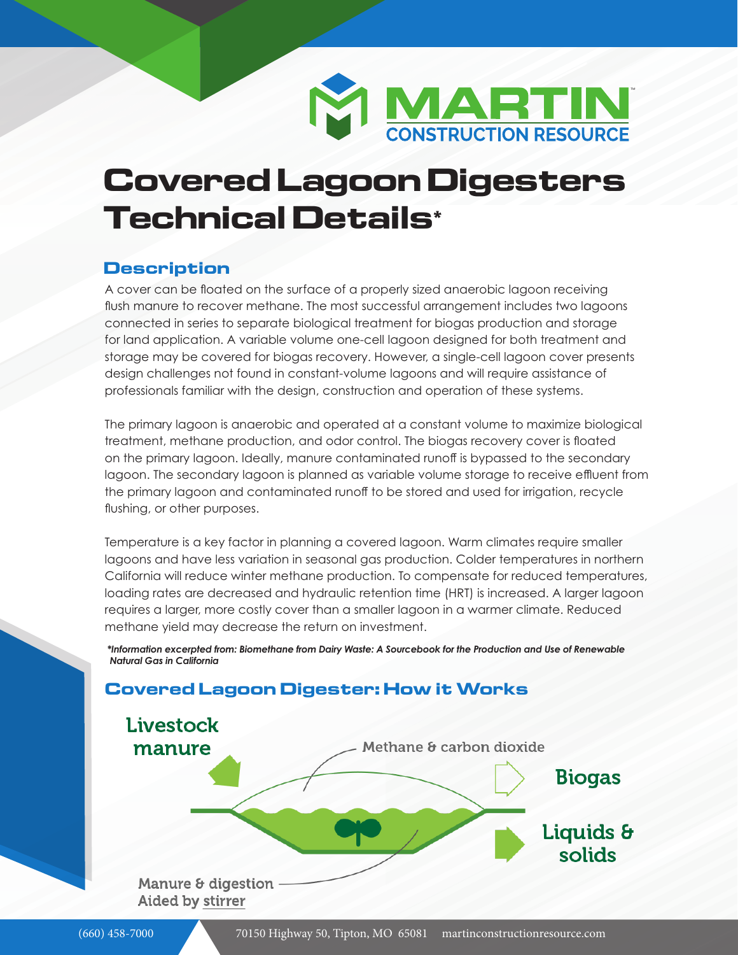

# **Covered Lagoon Digesters Technical Details\***

#### **Description**

A cover can be floated on the surface of a properly sized anaerobic lagoon receiving flush manure to recover methane. The most successful arrangement includes two lagoons connected in series to separate biological treatment for biogas production and storage for land application. A variable volume one-cell lagoon designed for both treatment and storage may be covered for biogas recovery. However, a single-cell lagoon cover presents design challenges not found in constant-volume lagoons and will require assistance of professionals familiar with the design, construction and operation of these systems.

The primary lagoon is anaerobic and operated at a constant volume to maximize biological treatment, methane production, and odor control. The biogas recovery cover is floated on the primary lagoon. Ideally, manure contaminated runoff is bypassed to the secondary lagoon. The secondary lagoon is planned as variable volume storage to receive effluent from the primary lagoon and contaminated runoff to be stored and used for irrigation, recycle flushing, or other purposes.

Temperature is a key factor in planning a covered lagoon. Warm climates require smaller lagoons and have less variation in seasonal gas production. Colder temperatures in northern California will reduce winter methane production. To compensate for reduced temperatures, loading rates are decreased and hydraulic retention time (HRT) is increased. A larger lagoon requires a larger, more costly cover than a smaller lagoon in a warmer climate. Reduced methane yield may decrease the return on investment.

 *\*Information excerpted from: Biomethane from Dairy Waste: A Sourcebook for the Production and Use of Renewable Natural Gas in California* 

#### **Covered Lagoon Digester: How it Works**

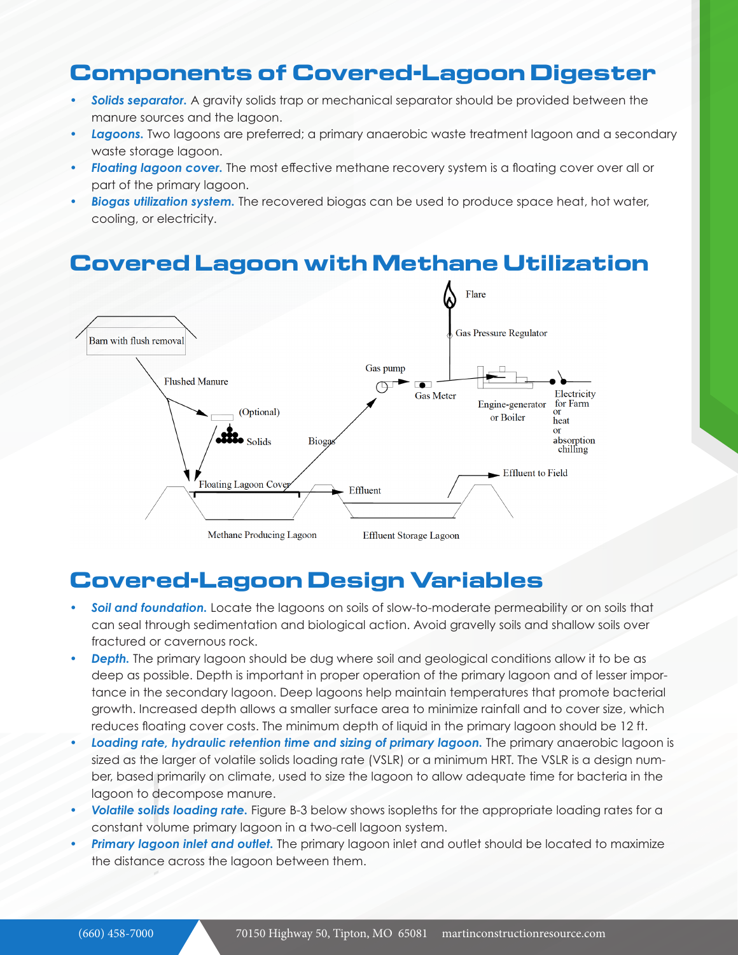# **Components of Covered-Lagoon Digester**

- **Solids separator.** A gravity solids trap or mechanical separator should be provided between the manure sources and the lagoon.
- *• Lagoons.* Two lagoons are preferred; a primary anaerobic waste treatment lagoon and a secondary waste storage lagoon.
- **Floating lagoon cover.** The most effective methane recovery system is a floating cover over all or part of the primary lagoon.
- *• Biogas utilization system.* The recovered biogas can be used to produce space heat, hot water, cooling, or electricity.

# **Covered Lagoon with Methane Utilization**



## **Covered-Lagoon Design Variables**

- *• Soil and foundation.* Locate the lagoons on soils of slow-to-moderate permeability or on soils that can seal through sedimentation and biological action. Avoid gravelly soils and shallow soils over fractured or cavernous rock.
- *• Depth.* The primary lagoon should be dug where soil and geological conditions allow it to be as deep as possible. Depth is important in proper operation of the primary lagoon and of lesser importance in the secondary lagoon. Deep lagoons help maintain temperatures that promote bacterial growth. Increased depth allows a smaller surface area to minimize rainfall and to cover size, which reduces floating cover costs. The minimum depth of liquid in the primary lagoon should be 12 ft.
- *• Loading rate, hydraulic retention time and sizing of primary lagoon.* The primary anaerobic lagoon is sized as the larger of volatile solids loading rate (VSLR) or a minimum HRT. The VSLR is a design number, based primarily on climate, used to size the lagoon to allow adequate time for bacteria in the lagoon to decompose manure.
- *• Volatile solids loading rate.* Figure B-3 below shows isopleths for the appropriate loading rates for a constant volume primary lagoon in a two-cell lagoon system.
- *• Primary lagoon inlet and outlet.* The primary lagoon inlet and outlet should be located to maximize the distance across the lagoon between them.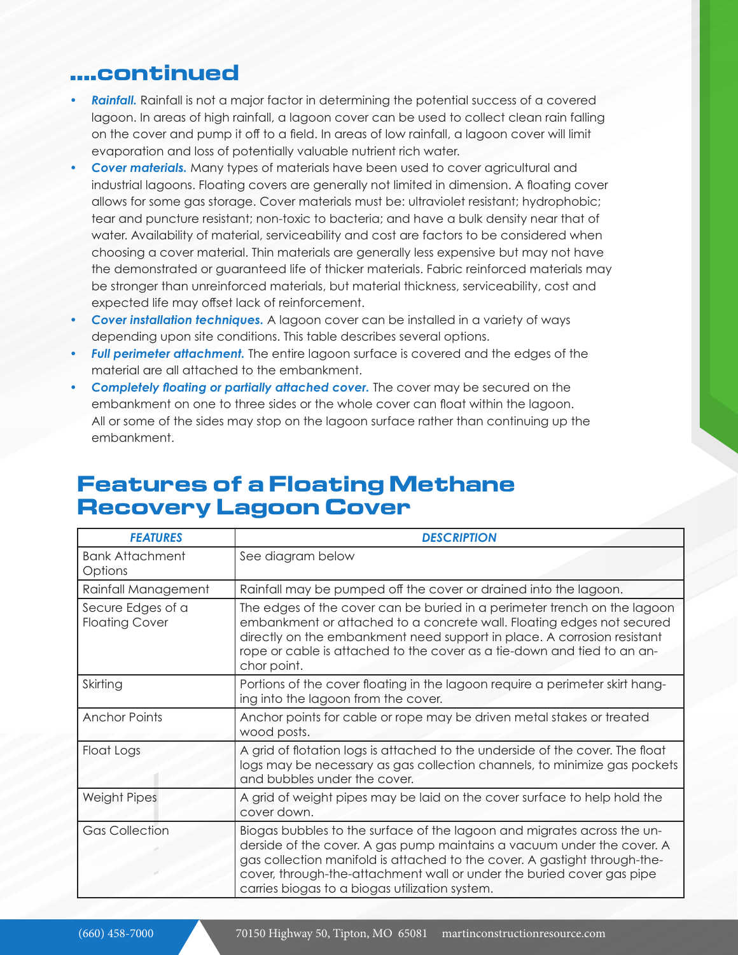#### **....continued**

- *• Rainfall.* Rainfall is not a major factor in determining the potential success of a covered lagoon. In areas of high rainfall, a lagoon cover can be used to collect clean rain falling on the cover and pump it off to a field. In areas of low rainfall, a lagoon cover will limit evaporation and loss of potentially valuable nutrient rich water.
- *• Cover materials.* Many types of materials have been used to cover agricultural and industrial lagoons. Floating covers are generally not limited in dimension. A floating cover allows for some gas storage. Cover materials must be: ultraviolet resistant; hydrophobic; tear and puncture resistant; non-toxic to bacteria; and have a bulk density near that of water. Availability of material, serviceability and cost are factors to be considered when choosing a cover material. Thin materials are generally less expensive but may not have the demonstrated or guaranteed life of thicker materials. Fabric reinforced materials may be stronger than unreinforced materials, but material thickness, serviceability, cost and expected life may offset lack of reinforcement.
- *• Cover installation techniques.* A lagoon cover can be installed in a variety of ways depending upon site conditions. This table describes several options.
- *• Full perimeter attachment.* The entire lagoon surface is covered and the edges of the material are all attached to the embankment.
- *• Completely floating or partially attached cover.* The cover may be secured on the embankment on one to three sides or the whole cover can float within the lagoon. All or some of the sides may stop on the lagoon surface rather than continuing up the embankment.

### **Features of a Floating Methane Recovery Lagoon Cover**

| <b>FEATURES</b>                            | <b>DESCRIPTION</b>                                                                                                                                                                                                                                                                                                                                        |
|--------------------------------------------|-----------------------------------------------------------------------------------------------------------------------------------------------------------------------------------------------------------------------------------------------------------------------------------------------------------------------------------------------------------|
| <b>Bank Attachment</b><br>Options          | See diagram below                                                                                                                                                                                                                                                                                                                                         |
| Rainfall Management                        | Rainfall may be pumped off the cover or drained into the lagoon.                                                                                                                                                                                                                                                                                          |
| Secure Edges of a<br><b>Floating Cover</b> | The edges of the cover can be buried in a perimeter trench on the lagoon<br>embankment or attached to a concrete wall. Floating edges not secured<br>directly on the embankment need support in place. A corrosion resistant<br>rope or cable is attached to the cover as a tie-down and tied to an an-<br>chor point.                                    |
| Skirting                                   | Portions of the cover floating in the lagoon require a perimeter skirt hang-<br>ing into the lagoon from the cover.                                                                                                                                                                                                                                       |
| <b>Anchor Points</b>                       | Anchor points for cable or rope may be driven metal stakes or treated<br>wood posts.                                                                                                                                                                                                                                                                      |
| Float Logs                                 | A grid of flotation logs is attached to the underside of the cover. The float<br>logs may be necessary as gas collection channels, to minimize gas pockets<br>and bubbles under the cover.                                                                                                                                                                |
| <b>Weight Pipes</b>                        | A grid of weight pipes may be laid on the cover surface to help hold the<br>cover down.                                                                                                                                                                                                                                                                   |
| <b>Gas Collection</b>                      | Biogas bubbles to the surface of the lagoon and migrates across the un-<br>derside of the cover. A gas pump maintains a vacuum under the cover. A<br>gas collection manifold is attached to the cover. A gastight through-the-<br>cover, through-the-attachment wall or under the buried cover gas pipe<br>carries biogas to a biogas utilization system. |